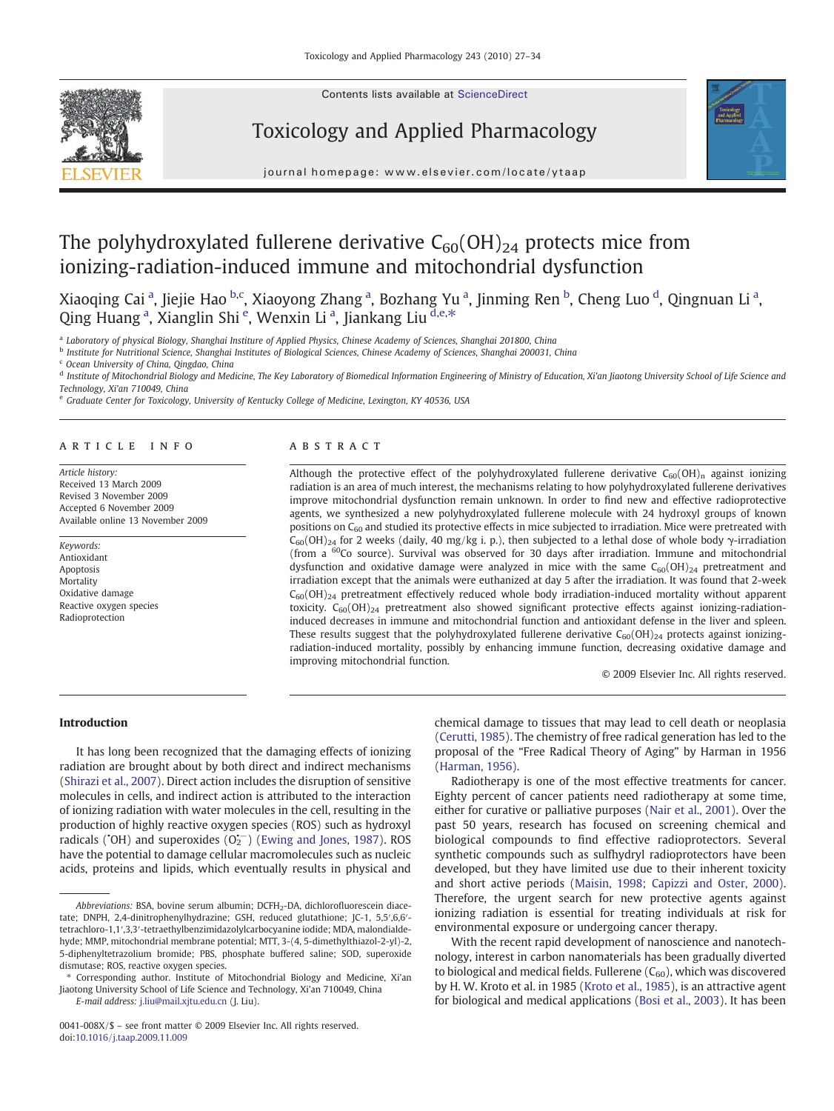Contents lists available at ScienceDirect







journal homepage: www.elsevier.com/locate/ytaap

# The polyhydroxylated fullerene derivative  $C_{60}(OH)_{24}$  protects mice from ionizing-radiation-induced immune and mitochondrial dysfunction

Xiaoqing Cai <sup>a</sup>, Jiejie Hao <sup>b,c</sup>, Xiaoyong Zhang <sup>a</sup>, Bozhang Yu <sup>a</sup>, Jinming Ren <sup>b</sup>, Cheng Luo <sup>d</sup>, Qingnuan Li <sup>a</sup>, Qing Huang <sup>a</sup>, Xianglin Shi <sup>e</sup>, Wenxin Li <sup>a</sup>, Jiankang Liu <sup>d,e,\*</sup>

a Laboratory of physical Biology, Shanghai Institure of Applied Physics, Chinese Academy of Sciences, Shanghai 201800, China

**b** Institute for Nutritional Science, Shanghai Institutes of Biological Sciences, Chinese Academy of Sciences, Shanghai 200031, China

<sup>c</sup> Ocean University of China, Qingdao, China

<sup>d</sup> Institute of Mitochondrial Biology and Medicine, The Key Laboratory of Biomedical Information Engineering of Ministry of Education, Xi'an Jiaotong University School of Life Science and Technology, Xi'an 710049, China

<sup>e</sup> Graduate Center for Toxicology, University of Kentucky College of Medicine, Lexington, KY 40536, USA

#### article info abstract

Article history: Received 13 March 2009 Revised 3 November 2009 Accepted 6 November 2009 Available online 13 November 2009

Keywords: Antioxidant Apoptosis **Mortality** Oxidative damage Reactive oxygen species Radioprotection

Although the protective effect of the polyhydroxylated fullerene derivative  $C_{60}(OH)$ <sub>n</sub> against ionizing radiation is an area of much interest, the mechanisms relating to how polyhydroxylated fullerene derivatives improve mitochondrial dysfunction remain unknown. In order to find new and effective radioprotective agents, we synthesized a new polyhydroxylated fullerene molecule with 24 hydroxyl groups of known positions on C<sub>60</sub> and studied its protective effects in mice subjected to irradiation. Mice were pretreated with  $C_{60}$ (OH)<sub>24</sub> for 2 weeks (daily, 40 mg/kg i. p.), then subjected to a lethal dose of whole body  $\gamma$ -irradiation (from a 60Co source). Survival was observed for 30 days after irradiation. Immune and mitochondrial dysfunction and oxidative damage were analyzed in mice with the same  $C_{60}(OH)_{24}$  pretreatment and irradiation except that the animals were euthanized at day 5 after the irradiation. It was found that 2-week  $C_{60}(OH)_{24}$  pretreatment effectively reduced whole body irradiation-induced mortality without apparent toxicity.  $C_{60}(OH)_{24}$  pretreatment also showed significant protective effects against ionizing-radiationinduced decreases in immune and mitochondrial function and antioxidant defense in the liver and spleen. These results suggest that the polyhydroxylated fullerene derivative  $C_{60}$ (OH)<sub>24</sub> protects against ionizingradiation-induced mortality, possibly by enhancing immune function, decreasing oxidative damage and improving mitochondrial function.

© 2009 Elsevier Inc. All rights reserved.

# Introduction

It has long been recognized that the damaging effects of ionizing radiation are brought about by both direct and indirect mechanisms [\(Shirazi et al., 2007\)](#page-7-0). Direct action includes the disruption of sensitive molecules in cells, and indirect action is attributed to the interaction of ionizing radiation with water molecules in the cell, resulting in the production of highly reactive oxygen species (ROS) such as hydroxyl radicals (°OH) and superoxides  $(O_2^{\leftarrow})$  ([Ewing and Jones, 1987\)](#page-6-0). ROS have the potential to damage cellular macromolecules such as nucleic acids, proteins and lipids, which eventually results in physical and

E-mail address: [j.liu@mail.xjtu.edu.cn](mailto:j.liu@mail.xjtu.edu.cn) (J. Liu).

chemical damage to tissues that may lead to cell death or neoplasia [\(Cerutti, 1985\)](#page-6-0). The chemistry of free radical generation has led to the proposal of the "Free Radical Theory of Aging" by Harman in 1956 [\(Harman, 1956\)](#page-6-0).

Radiotherapy is one of the most effective treatments for cancer. Eighty percent of cancer patients need radiotherapy at some time, either for curative or palliative purposes [\(Nair et al., 2001](#page-7-0)). Over the past 50 years, research has focused on screening chemical and biological compounds to find effective radioprotectors. Several synthetic compounds such as sulfhydryl radioprotectors have been developed, but they have limited use due to their inherent toxicity and short active periods ([Maisin, 1998; Capizzi and Oster, 2000](#page-7-0)). Therefore, the urgent search for new protective agents against ionizing radiation is essential for treating individuals at risk for environmental exposure or undergoing cancer therapy.

With the recent rapid development of nanoscience and nanotechnology, interest in carbon nanomaterials has been gradually diverted to biological and medical fields. Fullerene  $(C_{60})$ , which was discovered by H. W. Kroto et al. in 1985 [\(Kroto et al., 1985\)](#page-7-0), is an attractive agent for biological and medical applications ([Bosi et al., 2003](#page-6-0)). It has been

Abbreviations: BSA, bovine serum albumin; DCFH<sub>2</sub>-DA, dichlorofluorescein diacetate; DNPH, 2,4-dinitrophenylhydrazine; GSH, reduced glutathione; JC-1, 5,5′,6,6′ tetrachloro-1,1′,3,3′-tetraethylbenzimidazolylcarbocyanine iodide; MDA, malondialdehyde; MMP, mitochondrial membrane potential; MTT, 3-(4, 5-dimethylthiazol-2-yl)-2, 5-diphenyltetrazolium bromide; PBS, phosphate buffered saline; SOD, superoxide dismutase; ROS, reactive oxygen species.

<sup>⁎</sup> Corresponding author. Institute of Mitochondrial Biology and Medicine, Xi'an Jiaotong University School of Life Science and Technology, Xi'an 710049, China

<sup>0041-008</sup>X/\$ – see front matter © 2009 Elsevier Inc. All rights reserved. doi:[10.1016/j.taap.2009.11.009](http://dx.doi.org/10.1016/j.taap.2009.11.009)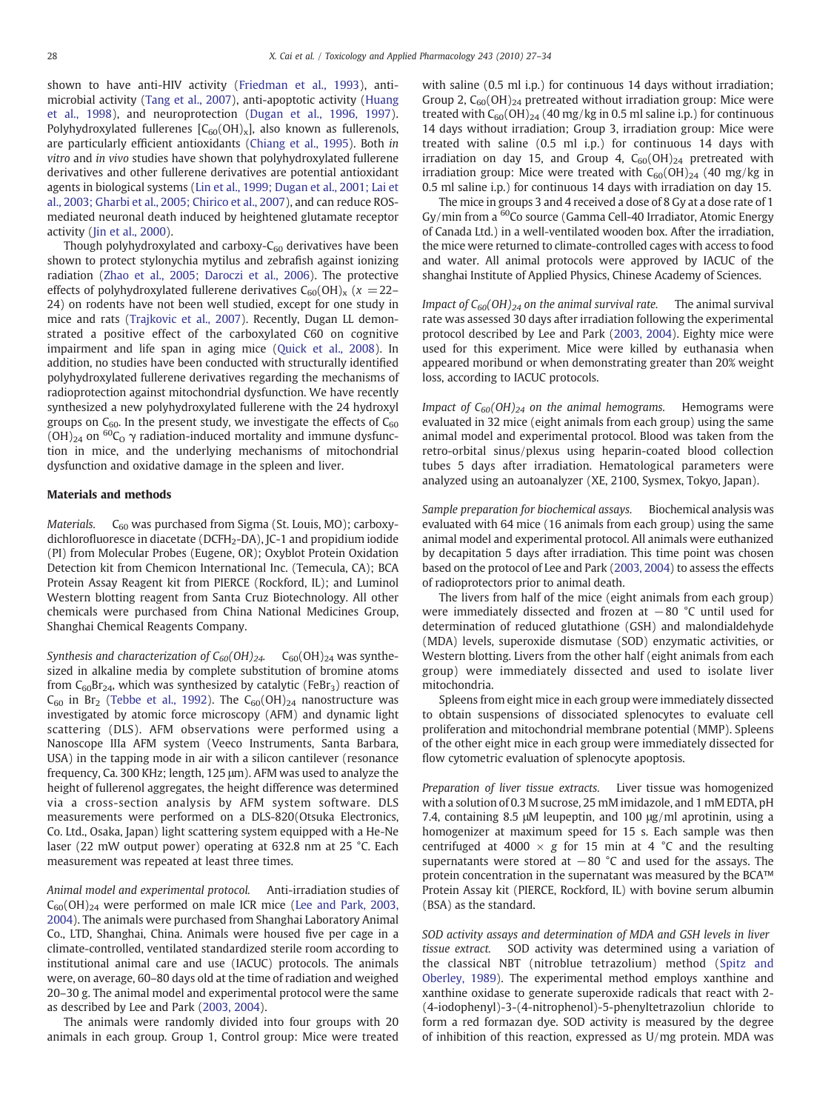shown to have anti-HIV activity ([Friedman et al., 1993\)](#page-6-0), antimicrobial activity [\(Tang et al., 2007](#page-7-0)), anti-apoptotic activity [\(Huang](#page-7-0) [et al., 1998](#page-7-0)), and neuroprotection ([Dugan et al., 1996, 1997](#page-6-0)). Polyhydroxylated fullerenes  $[C<sub>60</sub>(OH)<sub>x</sub>]$ , also known as fullerenols, are particularly efficient antioxidants ([Chiang et al., 1995](#page-6-0)). Both in vitro and in vivo studies have shown that polyhydroxylated fullerene derivatives and other fullerene derivatives are potential antioxidant agents in biological systems ([Lin et al., 1999; Dugan et al., 2001; Lai et](#page-7-0) [al., 2003; Gharbi et al., 2005; Chirico et al., 2007\)](#page-7-0), and can reduce ROSmediated neuronal death induced by heightened glutamate receptor activity ([Jin et al., 2000](#page-7-0)).

Though polyhydroxylated and carboxy- $C_{60}$  derivatives have been shown to protect stylonychia mytilus and zebrafish against ionizing radiation [\(Zhao et al., 2005; Daroczi et al., 2006](#page-7-0)). The protective effects of polyhydroxylated fullerene derivatives  $C_{60}(OH)_x$  ( $x = 22-$ 24) on rodents have not been well studied, except for one study in mice and rats ([Trajkovic et al., 2007](#page-7-0)). Recently, Dugan LL demonstrated a positive effect of the carboxylated C60 on cognitive impairment and life span in aging mice [\(Quick et al., 2008\)](#page-7-0). In addition, no studies have been conducted with structurally identified polyhydroxylated fullerene derivatives regarding the mechanisms of radioprotection against mitochondrial dysfunction. We have recently synthesized a new polyhydroxylated fullerene with the 24 hydroxyl groups on  $C_{60}$ . In the present study, we investigate the effects of  $C_{60}$  $(OH)_{24}$  on <sup>60</sup>C<sub>O</sub>  $\gamma$  radiation-induced mortality and immune dysfunction in mice, and the underlying mechanisms of mitochondrial dysfunction and oxidative damage in the spleen and liver.

### Materials and methods

Materials.  $C_{60}$  was purchased from Sigma (St. Louis, MO); carboxydichlorofluoresce in diacetate (DCFH2-DA), JC-1 and propidium iodide (PI) from Molecular Probes (Eugene, OR); Oxyblot Protein Oxidation Detection kit from Chemicon International Inc. (Temecula, CA); BCA Protein Assay Reagent kit from PIERCE (Rockford, IL); and Luminol Western blotting reagent from Santa Cruz Biotechnology. All other chemicals were purchased from China National Medicines Group, Shanghai Chemical Reagents Company.

Synthesis and characterization of  $C_{60}(OH)_{24}$ .  $C_{60}(OH)_{24}$  was synthesized in alkaline media by complete substitution of bromine atoms from  $C_{60}Br_{24}$ , which was synthesized by catalytic (FeBr<sub>3</sub>) reaction of  $C_{60}$  in Br<sub>2</sub> [\(Tebbe et al., 1992\)](#page-7-0). The  $C_{60}(OH)_{24}$  nanostructure was investigated by atomic force microscopy (AFM) and dynamic light scattering (DLS). AFM observations were performed using a Nanoscope IIIa AFM system (Veeco Instruments, Santa Barbara, USA) in the tapping mode in air with a silicon cantilever (resonance frequency, Ca. 300 KHz; length, 125 μm). AFM was used to analyze the height of fullerenol aggregates, the height difference was determined via a cross-section analysis by AFM system software. DLS measurements were performed on a DLS-820(Otsuka Electronics, Co. Ltd., Osaka, Japan) light scattering system equipped with a He-Ne laser (22 mW output power) operating at 632.8 nm at 25 °C. Each measurement was repeated at least three times.

Animal model and experimental protocol. Anti-irradiation studies of  $C_{60}(OH)_{24}$  were performed on male ICR mice ([Lee and Park, 2003,](#page-7-0) [2004\)](#page-7-0). The animals were purchased from Shanghai Laboratory Animal Co., LTD, Shanghai, China. Animals were housed five per cage in a climate-controlled, ventilated standardized sterile room according to institutional animal care and use (IACUC) protocols. The animals were, on average, 60–80 days old at the time of radiation and weighed 20–30 g. The animal model and experimental protocol were the same as described by Lee and Park ([2003, 2004\)](#page-7-0).

The animals were randomly divided into four groups with 20 animals in each group. Group 1, Control group: Mice were treated with saline (0.5 ml i.p.) for continuous 14 days without irradiation; Group 2,  $C_{60}(OH)_{24}$  pretreated without irradiation group: Mice were treated with  $C_{60}(OH)_{24}$  (40 mg/kg in 0.5 ml saline i.p.) for continuous 14 days without irradiation; Group 3, irradiation group: Mice were treated with saline (0.5 ml i.p.) for continuous 14 days with irradiation on day 15, and Group 4,  $C_{60}(OH)_{24}$  pretreated with irradiation group: Mice were treated with  $C_{60}(OH)_{24}$  (40 mg/kg in 0.5 ml saline i.p.) for continuous 14 days with irradiation on day 15.

The mice in groups 3 and 4 received a dose of 8 Gy at a dose rate of 1 Gy/min from a <sup>60</sup>Co source (Gamma Cell-40 Irradiator, Atomic Energy of Canada Ltd.) in a well-ventilated wooden box. After the irradiation, the mice were returned to climate-controlled cages with access to food and water. All animal protocols were approved by IACUC of the shanghai Institute of Applied Physics, Chinese Academy of Sciences.

Impact of  $C_{60}(OH)_{24}$  on the animal survival rate. The animal survival rate was assessed 30 days after irradiation following the experimental protocol described by Lee and Park ([2003, 2004\)](#page-7-0). Eighty mice were used for this experiment. Mice were killed by euthanasia when appeared moribund or when demonstrating greater than 20% weight loss, according to IACUC protocols.

Impact of  $C_{60}(OH)_{24}$  on the animal hemograms. Hemograms were evaluated in 32 mice (eight animals from each group) using the same animal model and experimental protocol. Blood was taken from the retro-orbital sinus/plexus using heparin-coated blood collection tubes 5 days after irradiation. Hematological parameters were analyzed using an autoanalyzer (XE, 2100, Sysmex, Tokyo, Japan).

Sample preparation for biochemical assays. Biochemical analysis was evaluated with 64 mice (16 animals from each group) using the same animal model and experimental protocol. All animals were euthanized by decapitation 5 days after irradiation. This time point was chosen based on the protocol of Lee and Park ([2003, 2004](#page-7-0)) to assess the effects of radioprotectors prior to animal death.

The livers from half of the mice (eight animals from each group) were immediately dissected and frozen at  $-80$  °C until used for determination of reduced glutathione (GSH) and malondialdehyde (MDA) levels, superoxide dismutase (SOD) enzymatic activities, or Western blotting. Livers from the other half (eight animals from each group) were immediately dissected and used to isolate liver mitochondria.

Spleens from eight mice in each group were immediately dissected to obtain suspensions of dissociated splenocytes to evaluate cell proliferation and mitochondrial membrane potential (MMP). Spleens of the other eight mice in each group were immediately dissected for flow cytometric evaluation of splenocyte apoptosis.

Preparation of liver tissue extracts. Liver tissue was homogenized with a solution of 0.3 M sucrose, 25 mM imidazole, and 1 mM EDTA, pH 7.4, containing 8.5 μM leupeptin, and 100 μg/ml aprotinin, using a homogenizer at maximum speed for 15 s. Each sample was then centrifuged at 4000  $\times$  g for 15 min at 4 °C and the resulting supernatants were stored at  $-80$  °C and used for the assays. The protein concentration in the supernatant was measured by the BCA™ Protein Assay kit (PIERCE, Rockford, IL) with bovine serum albumin (BSA) as the standard.

SOD activity assays and determination of MDA and GSH levels in liver tissue extract. SOD activity was determined using a variation of the classical NBT (nitroblue tetrazolium) method [\(Spitz and](#page-7-0) [Oberley, 1989](#page-7-0)). The experimental method employs xanthine and xanthine oxidase to generate superoxide radicals that react with 2- (4-iodophenyl)-3-(4-nitrophenol)-5-phenyltetrazoliun chloride to form a red formazan dye. SOD activity is measured by the degree of inhibition of this reaction, expressed as U/mg protein. MDA was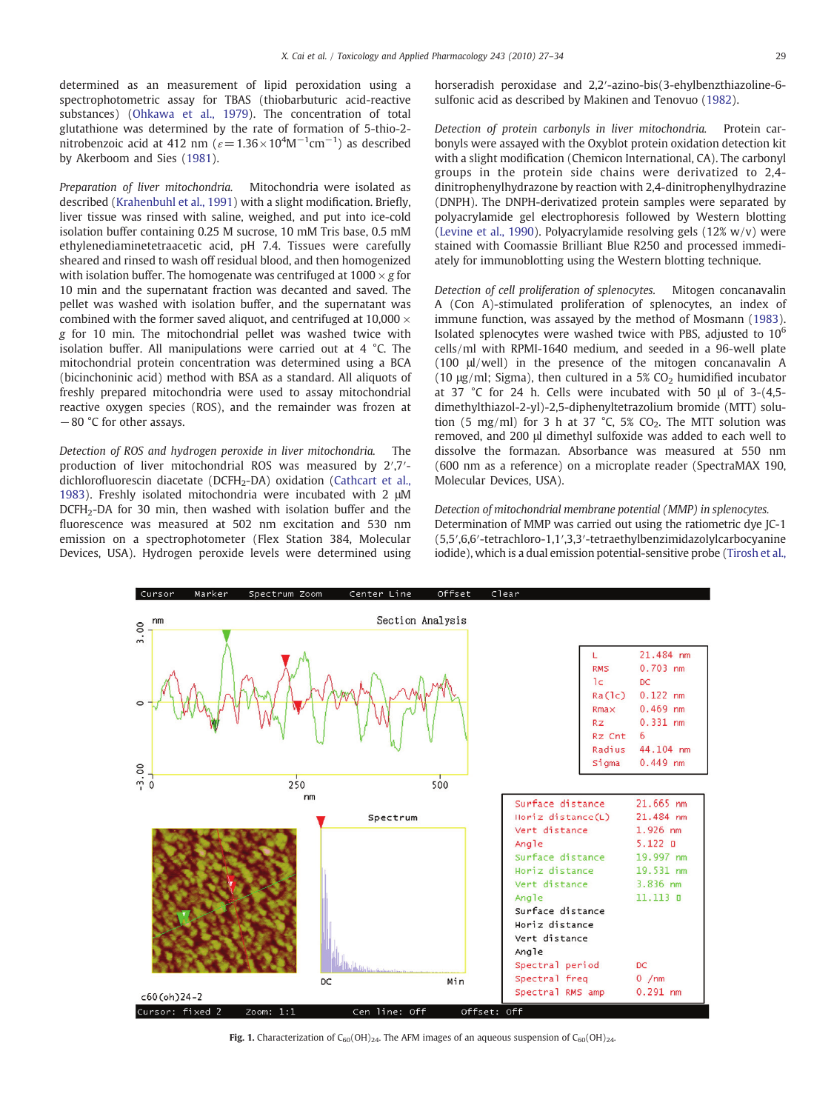<span id="page-2-0"></span>determined as an measurement of lipid peroxidation using a spectrophotometric assay for TBAS (thiobarbuturic acid-reactive substances) ([Ohkawa et al., 1979](#page-7-0)). The concentration of total glutathione was determined by the rate of formation of 5-thio-2 nitrobenzoic acid at 412 nm ( $\varepsilon$  = 1.36 × 10<sup>4</sup>M<sup>-1</sup>cm<sup>-1</sup>) as described by Akerboom and Sies [\(1981](#page-6-0)).

Preparation of liver mitochondria. Mitochondria were isolated as described ([Krahenbuhl et al., 1991](#page-7-0)) with a slight modification. Briefly, liver tissue was rinsed with saline, weighed, and put into ice-cold isolation buffer containing 0.25 M sucrose, 10 mM Tris base, 0.5 mM ethylenediaminetetraacetic acid, pH 7.4. Tissues were carefully sheared and rinsed to wash off residual blood, and then homogenized with isolation buffer. The homogenate was centrifuged at  $1000 \times g$  for 10 min and the supernatant fraction was decanted and saved. The pellet was washed with isolation buffer, and the supernatant was combined with the former saved aliquot, and centrifuged at  $10,000 \times$ g for 10 min. The mitochondrial pellet was washed twice with isolation buffer. All manipulations were carried out at 4 °C. The mitochondrial protein concentration was determined using a BCA (bicinchoninic acid) method with BSA as a standard. All aliquots of freshly prepared mitochondria were used to assay mitochondrial reactive oxygen species (ROS), and the remainder was frozen at −80 °C for other assays.

Detection of ROS and hydrogen peroxide in liver mitochondria. The production of liver mitochondrial ROS was measured by 2′,7′- dichlorofluorescin diacetate (DCFH<sub>2</sub>-DA) oxidation ([Cathcart et al.,](#page-6-0) [1983\)](#page-6-0). Freshly isolated mitochondria were incubated with 2 μM DCFH2-DA for 30 min, then washed with isolation buffer and the fluorescence was measured at 502 nm excitation and 530 nm emission on a spectrophotometer (Flex Station 384, Molecular Devices, USA). Hydrogen peroxide levels were determined using horseradish peroxidase and 2,2′-azino-bis(3-ehylbenzthiazoline-6 sulfonic acid as described by Makinen and Tenovuo ([1982\)](#page-7-0).

Detection of protein carbonyls in liver mitochondria. Protein carbonyls were assayed with the Oxyblot protein oxidation detection kit with a slight modification (Chemicon International, CA). The carbonyl groups in the protein side chains were derivatized to 2,4 dinitrophenylhydrazone by reaction with 2,4-dinitrophenylhydrazine (DNPH). The DNPH-derivatized protein samples were separated by polyacrylamide gel electrophoresis followed by Western blotting [\(Levine et al., 1990](#page-7-0)). Polyacrylamide resolving gels (12% w/v) were stained with Coomassie Brilliant Blue R250 and processed immediately for immunoblotting using the Western blotting technique.

Detection of cell proliferation of splenocytes. Mitogen concanavalin A (Con A)-stimulated proliferation of splenocytes, an index of immune function, was assayed by the method of Mosmann [\(1983](#page-7-0)). Isolated splenocytes were washed twice with PBS, adjusted to 10<sup>6</sup> cells/ml with RPMI-1640 medium, and seeded in a 96-well plate (100 μl/well) in the presence of the mitogen concanavalin A (10  $\mu$ g/ml; Sigma), then cultured in a 5% CO<sub>2</sub> humidified incubator at 37 °C for 24 h. Cells were incubated with 50 μl of 3-(4,5 dimethylthiazol-2-yl)-2,5-diphenyltetrazolium bromide (MTT) solution (5 mg/ml) for 3 h at 37  $°C$ , 5% CO<sub>2</sub>. The MTT solution was removed, and 200 μl dimethyl sulfoxide was added to each well to dissolve the formazan. Absorbance was measured at 550 nm (600 nm as a reference) on a microplate reader (SpectraMAX 190, Molecular Devices, USA).

Detection of mitochondrial membrane potential (MMP) in splenocytes. Determination of MMP was carried out using the ratiometric dye JC-1 (5,5′,6,6′-tetrachloro-1,1′,3,3′-tetraethylbenzimidazolylcarbocyanine iodide), which is a dual emission potential-sensitive probe ([Tirosh et al.,](#page-7-0)



Fig. 1. Characterization of  $C_{60}(OH)_{24}$ . The AFM images of an aqueous suspension of  $C_{60}(OH)_{24}$ .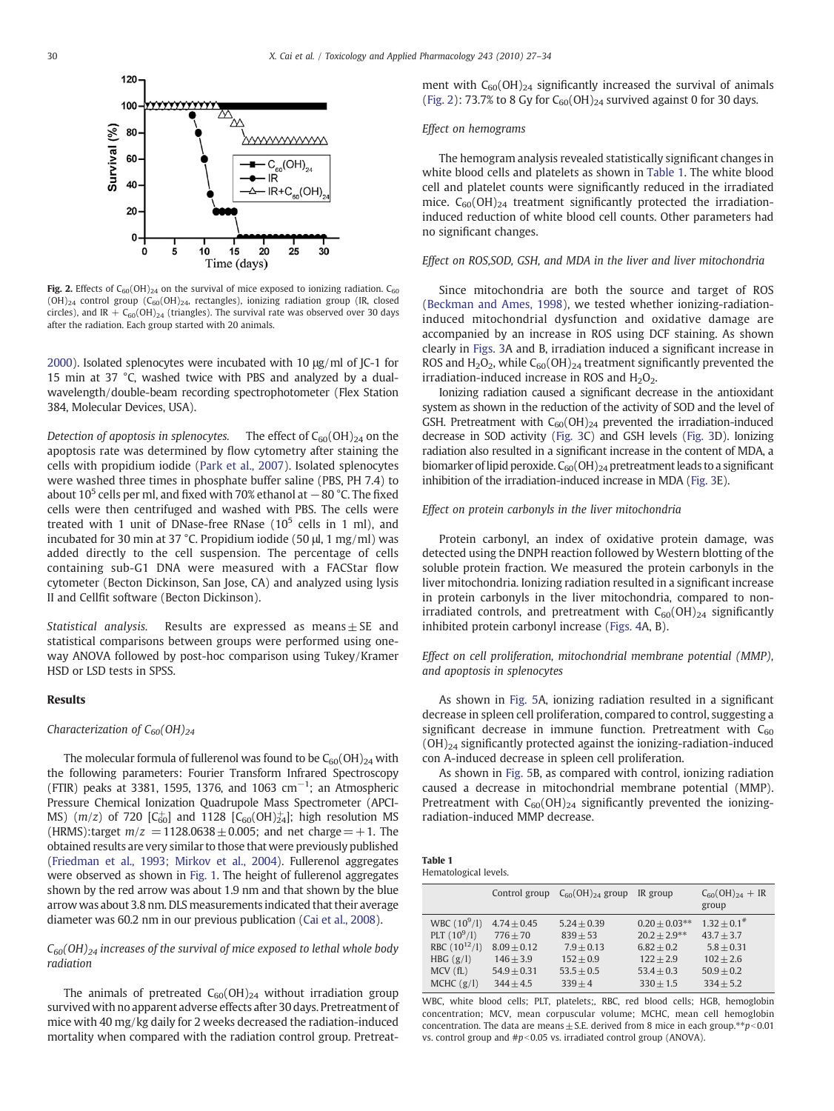<span id="page-3-0"></span>

Fig. 2. Effects of  $C_{60}(OH)_{24}$  on the survival of mice exposed to ionizing radiation.  $C_{60}$  $(OH)_{24}$  control group  $(C_{60}(OH)_{24}$ , rectangles), ionizing radiation group (IR, closed circles), and IR +  $C_{60}(OH)_{24}$  (triangles). The survival rate was observed over 30 days after the radiation. Each group started with 20 animals.

[2000\)](#page-7-0). Isolated splenocytes were incubated with 10 μg/ml of JC-1 for 15 min at 37 °C, washed twice with PBS and analyzed by a dualwavelength/double-beam recording spectrophotometer (Flex Station 384, Molecular Devices, USA).

Detection of apoptosis in splenocytes. The effect of  $C_{60}(OH)_{24}$  on the apoptosis rate was determined by flow cytometry after staining the cells with propidium iodide ([Park et al., 2007\)](#page-7-0). Isolated splenocytes were washed three times in phosphate buffer saline (PBS, PH 7.4) to about  $10^5$  cells per ml, and fixed with 70% ethanol at  $-80$  °C. The fixed cells were then centrifuged and washed with PBS. The cells were treated with 1 unit of DNase-free RNase  $(10^5 \text{ cells in } 1 \text{ ml})$ , and incubated for 30 min at 37 °C. Propidium iodide (50 μl, 1 mg/ml) was added directly to the cell suspension. The percentage of cells containing sub-G1 DNA were measured with a FACStar flow cytometer (Becton Dickinson, San Jose, CA) and analyzed using lysis II and Cellfit software (Becton Dickinson).

Statistical analysis. Results are expressed as means $\pm$  SE and statistical comparisons between groups were performed using oneway ANOVA followed by post-hoc comparison using Tukey/Kramer HSD or LSD tests in SPSS.

# Results

#### Characterization of  $C_{60}(OH)_{24}$

The molecular formula of fullerenol was found to be  $C_{60}(OH)_{24}$  with the following parameters: Fourier Transform Infrared Spectroscopy (FTIR) peaks at 3381, 1595, 1376, and 1063 cm<sup>-1</sup>; an Atmospheric Pressure Chemical Ionization Quadrupole Mass Spectrometer (APCI-MS)  $(m/z)$  of 720 [C<sub>60</sub>] and 1128 [C<sub>60</sub>(OH) $_{24}^{+}$ ]; high resolution MS (HRMS):target  $m/z = 1128.0638 \pm 0.005$ ; and net charge  $= +1$ . The obtained results are very similar to those that were previously published [\(Friedman et al., 1993; Mirkov et al., 2004\)](#page-6-0). Fullerenol aggregates were observed as shown in [Fig. 1.](#page-2-0) The height of fullerenol aggregates shown by the red arrow was about 1.9 nm and that shown by the blue arrow was about 3.8 nm. DLS measurements indicated that their average diameter was 60.2 nm in our previous publication ([Cai et al., 2008](#page-6-0)).

# $C_{60}(OH)_{24}$  increases of the survival of mice exposed to lethal whole body radiation

The animals of pretreated  $C_{60}(OH)_{24}$  without irradiation group survived with no apparent adverse effects after 30 days. Pretreatment of mice with 40 mg/kg daily for 2 weeks decreased the radiation-induced mortality when compared with the radiation control group. Pretreatment with  $C_{60}(OH)_{24}$  significantly increased the survival of animals (Fig. 2): 73.7% to 8 Gy for  $C_{60}(OH)_{24}$  survived against 0 for 30 days.

### Effect on hemograms

The hemogram analysis revealed statistically significant changes in white blood cells and platelets as shown in Table 1. The white blood cell and platelet counts were significantly reduced in the irradiated mice.  $C_{60}(OH)_{24}$  treatment significantly protected the irradiationinduced reduction of white blood cell counts. Other parameters had no significant changes.

# Effect on ROS,SOD, GSH, and MDA in the liver and liver mitochondria

Since mitochondria are both the source and target of ROS [\(Beckman and Ames, 1998\)](#page-6-0), we tested whether ionizing-radiationinduced mitochondrial dysfunction and oxidative damage are accompanied by an increase in ROS using DCF staining. As shown clearly in [Figs. 3A](#page-4-0) and B, irradiation induced a significant increase in ROS and  $H_2O_2$ , while  $C_{60}(OH)_{24}$  treatment significantly prevented the irradiation-induced increase in ROS and  $H_2O_2$ .

Ionizing radiation caused a significant decrease in the antioxidant system as shown in the reduction of the activity of SOD and the level of GSH. Pretreatment with  $C_{60}(OH)_{24}$  prevented the irradiation-induced decrease in SOD activity [\(Fig. 3](#page-4-0)C) and GSH levels ([Fig. 3](#page-4-0)D). Ionizing radiation also resulted in a significant increase in the content of MDA, a biomarker of lipid peroxide.  $C_{60}(OH)_{24}$  pretreatment leads to a significant inhibition of the irradiation-induced increase in MDA ([Fig. 3E](#page-4-0)).

#### Effect on protein carbonyls in the liver mitochondria

Protein carbonyl, an index of oxidative protein damage, was detected using the DNPH reaction followed by Western blotting of the soluble protein fraction. We measured the protein carbonyls in the liver mitochondria. Ionizing radiation resulted in a significant increase in protein carbonyls in the liver mitochondria, compared to nonirradiated controls, and pretreatment with  $C_{60}(OH)_{24}$  significantly inhibited protein carbonyl increase ([Figs. 4](#page-5-0)A, B).

# Effect on cell proliferation, mitochondrial membrane potential (MMP), and apoptosis in splenocytes

As shown in [Fig. 5A](#page-5-0), ionizing radiation resulted in a significant decrease in spleen cell proliferation, compared to control, suggesting a significant decrease in immune function. Pretreatment with  $C_{60}$  $(OH)_{24}$  significantly protected against the ionizing-radiation-induced con A-induced decrease in spleen cell proliferation.

As shown in [Fig. 5B](#page-5-0), as compared with control, ionizing radiation caused a decrease in mitochondrial membrane potential (MMP). Pretreatment with  $C_{60}(OH)_{24}$  significantly prevented the ionizingradiation-induced MMP decrease.

| Table 1               |  |
|-----------------------|--|
| Hematological levels. |  |

|                                                                                                      | Control group                                                                               | $C_{60}(OH)_{24}$ group                                                                 | IR group                                                                                        | $C_{60}(OH)_{24} + IR$<br>group                                                                         |
|------------------------------------------------------------------------------------------------------|---------------------------------------------------------------------------------------------|-----------------------------------------------------------------------------------------|-------------------------------------------------------------------------------------------------|---------------------------------------------------------------------------------------------------------|
| WBC $(10^9/l)$<br>PLT $(10^9/1)$<br>RBC $(10^{12}/1)$<br>HBG $(g/l)$<br>$MCV$ ( $fL$ )<br>MCHC (g/l) | $4.74 + 0.45$<br>$776 + 70$<br>$8.09 + 0.12$<br>$146 + 3.9$<br>$54.9 + 0.31$<br>$344 + 4.5$ | $5.24 + 0.39$<br>$839 + 53$<br>$7.9 + 0.13$<br>$152 + 0.9$<br>$53.5 + 0.5$<br>$339 + 4$ | $0.20 + 0.03**$<br>$20.2 + 2.9**$<br>$6.82 + 0.2$<br>$122 + 2.9$<br>$53.4 + 0.3$<br>$330 + 1.5$ | $1.32 + 0.1$ <sup>#</sup><br>$43.7 + 3.7$<br>$5.8 + 0.31$<br>$102 + 2.6$<br>$50.9 + 0.2$<br>$334 + 5.2$ |

WBC, white blood cells; PLT, platelets;, RBC, red blood cells; HGB, hemoglobin concentration; MCV, mean corpuscular volume; MCHC, mean cell hemoglobin concentration. The data are means  $\pm$  S.E. derived from 8 mice in each group. $*$ <sub>p</sub> $\leq$ 0.01 vs. control group and  $\#p<0.05$  vs. irradiated control group (ANOVA).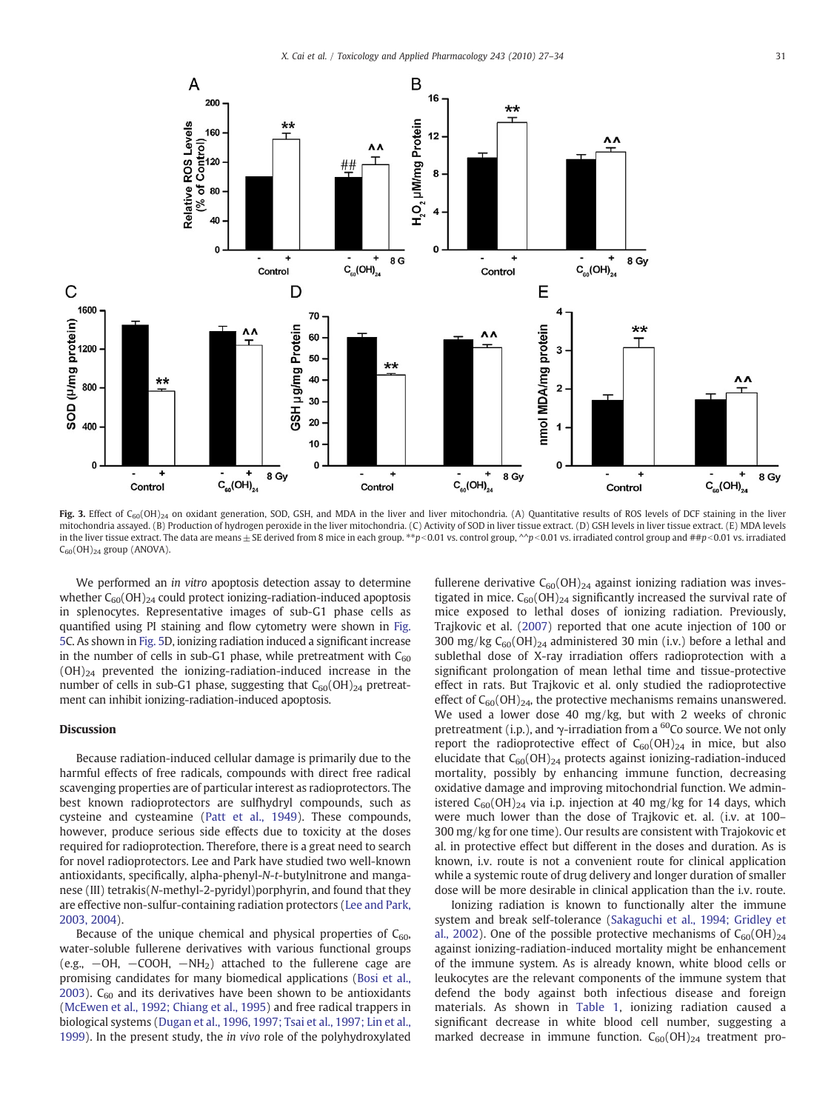<span id="page-4-0"></span>

Fig. 3. Effect of C<sub>60</sub>(OH)<sub>24</sub> on oxidant generation, SOD, GSH, and MDA in the liver and liver mitochondria. (A) Quantitative results of ROS levels of DCF staining in the liver mitochondria assayed. (B) Production of hydrogen peroxide in the liver mitochondria. (C) Activity of SOD in liver tissue extract. (D) GSH levels in liver tissue extract. (E) MDA levels in the liver tissue extract. The data are means ± SE derived from 8 mice in each group. \*\*p<0.01 vs. control group, ^^p<0.01 vs. irradiated control group and ##p<0.01 vs. irradiated  $C_{60}(OH)_{24}$  group (ANOVA).

We performed an in vitro apoptosis detection assay to determine whether  $C_{60}(OH)_{24}$  could protect ionizing-radiation-induced apoptosis in splenocytes. Representative images of sub-G1 phase cells as quantified using PI staining and flow cytometry were shown in [Fig.](#page-5-0) [5C](#page-5-0). As shown in [Fig. 5](#page-5-0)D, ionizing radiation induced a significant increase in the number of cells in sub-G1 phase, while pretreatment with  $C_{60}$  $(OH)_{24}$  prevented the ionizing-radiation-induced increase in the number of cells in sub-G1 phase, suggesting that  $C_{60}(OH)_{24}$  pretreatment can inhibit ionizing-radiation-induced apoptosis.

# Discussion

Because radiation-induced cellular damage is primarily due to the harmful effects of free radicals, compounds with direct free radical scavenging properties are of particular interest as radioprotectors. The best known radioprotectors are sulfhydryl compounds, such as cysteine and cysteamine ([Patt et al., 1949](#page-7-0)). These compounds, however, produce serious side effects due to toxicity at the doses required for radioprotection. Therefore, there is a great need to search for novel radioprotectors. Lee and Park have studied two well-known antioxidants, specifically, alpha-phenyl-N-t-butylnitrone and manganese (III) tetrakis(N-methyl-2-pyridyl)porphyrin, and found that they are effective non-sulfur-containing radiation protectors ([Lee and Park,](#page-7-0) [2003, 2004](#page-7-0)).

Because of the unique chemical and physical properties of  $C_{60}$ , water-soluble fullerene derivatives with various functional groups (e.g., −OH, −COOH, −NH2) attached to the fullerene cage are promising candidates for many biomedical applications [\(Bosi et al.,](#page-6-0) [2003\)](#page-6-0).  $C_{60}$  and its derivatives have been shown to be antioxidants [\(McEwen et al., 1992; Chiang et al., 1995](#page-7-0)) and free radical trappers in biological systems [\(Dugan et al., 1996, 1997; Tsai et al., 1997; Lin et al.,](#page-6-0) [1999\)](#page-6-0). In the present study, the in vivo role of the polyhydroxylated fullerene derivative  $C_{60}(OH)_{24}$  against ionizing radiation was investigated in mice.  $C_{60}(OH)_{24}$  significantly increased the survival rate of mice exposed to lethal doses of ionizing radiation. Previously, Trajkovic et al. ([2007](#page-7-0)) reported that one acute injection of 100 or 300 mg/kg  $C_{60}(OH)_{24}$  administered 30 min (i.v.) before a lethal and sublethal dose of X-ray irradiation offers radioprotection with a significant prolongation of mean lethal time and tissue-protective effect in rats. But Trajkovic et al. only studied the radioprotective effect of  $C_{60}(OH)_{24}$ , the protective mechanisms remains unanswered. We used a lower dose 40 mg/kg, but with 2 weeks of chronic pretreatment (i.p.), and  $\gamma$ -irradiation from a <sup>60</sup>Co source. We not only report the radioprotective effect of  $C_{60}(OH)_{24}$  in mice, but also elucidate that  $C_{60}(OH)_{24}$  protects against ionizing-radiation-induced mortality, possibly by enhancing immune function, decreasing oxidative damage and improving mitochondrial function. We administered  $C_{60}(OH)_{24}$  via i.p. injection at 40 mg/kg for 14 days, which were much lower than the dose of Trajkovic et. al. (i.v. at 100– 300 mg/kg for one time). Our results are consistent with Trajokovic et al. in protective effect but different in the doses and duration. As is known, i.v. route is not a convenient route for clinical application while a systemic route of drug delivery and longer duration of smaller dose will be more desirable in clinical application than the i.v. route.

Ionizing radiation is known to functionally alter the immune system and break self-tolerance ([Sakaguchi et al., 1994; Gridley et](#page-7-0) [al., 2002\)](#page-7-0). One of the possible protective mechanisms of  $C_{60}(OH)_{24}$ against ionizing-radiation-induced mortality might be enhancement of the immune system. As is already known, white blood cells or leukocytes are the relevant components of the immune system that defend the body against both infectious disease and foreign materials. As shown in [Table 1,](#page-3-0) ionizing radiation caused a significant decrease in white blood cell number, suggesting a marked decrease in immune function.  $C_{60}(OH)_{24}$  treatment pro-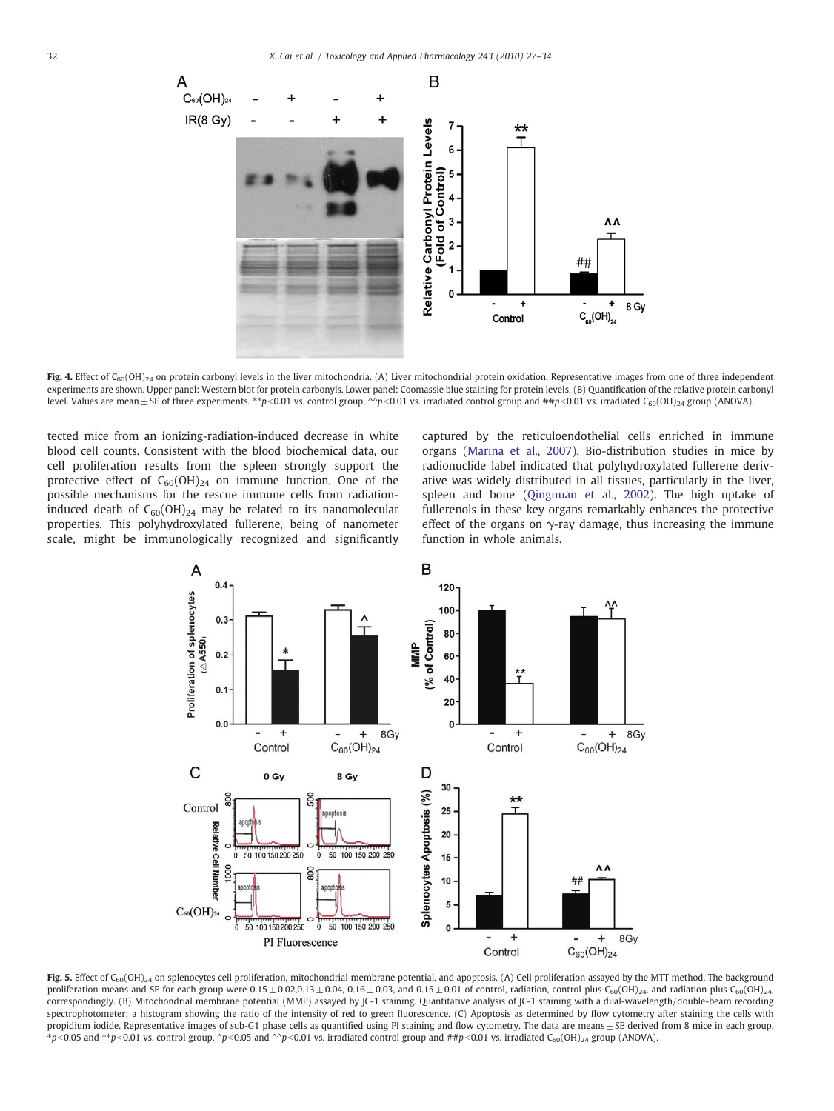<span id="page-5-0"></span>

Fig. 4. Effect of C<sub>60</sub>(OH)<sub>24</sub> on protein carbonyl levels in the liver mitochondria. (A) Liver mitochondrial protein oxidation. Representative images from one of three independent experiments are shown. Upper panel: Western blot for protein carbonyls. Lower panel: Coomassie blue staining for protein levels. (B) Quantification of the relative protein carbonyl level. Values are mean ± SE of three experiments. \*\*p<0.01 vs. control group, ^^p<0.01 vs. irradiated control group and ##p<0.01 vs. irradiated C<sub>60</sub>(OH)<sub>24</sub> group (ANOVA).

tected mice from an ionizing-radiation-induced decrease in white blood cell counts. Consistent with the blood biochemical data, our cell proliferation results from the spleen strongly support the protective effect of  $C_{60}(OH)_{24}$  on immune function. One of the possible mechanisms for the rescue immune cells from radiationinduced death of  $C_{60}(OH)_{24}$  may be related to its nanomolecular properties. This polyhydroxylated fullerene, being of nanometer scale, might be immunologically recognized and significantly captured by the reticuloendothelial cells enriched in immune organs [\(Marina et al., 2007\)](#page-7-0). Bio-distribution studies in mice by radionuclide label indicated that polyhydroxylated fullerene derivative was widely distributed in all tissues, particularly in the liver, spleen and bone ([Qingnuan et al., 2002](#page-7-0)). The high uptake of fullerenols in these key organs remarkably enhances the protective effect of the organs on  $\gamma$ -ray damage, thus increasing the immune function in whole animals.



Fig. 5. Effect of C<sub>60</sub>(OH)<sub>24</sub> on splenocytes cell proliferation, mitochondrial membrane potential, and apoptosis. (A) Cell proliferation assayed by the MTT method. The background proliferation means and SE for each group were 0.15 ± 0.02,0.13 ± 0.04, 0.16 ± 0.03, and 0.15 ± 0.01 of control, radiation, control plus C<sub>60</sub>(OH)<sub>24</sub>, and radiation plus C<sub>60</sub>(OH)<sub>24</sub>, correspondingly. (B) Mitochondrial membrane potential (MMP) assayed by JC-1 staining. Quantitative analysis of JC-1 staining with a dual-wavelength/double-beam recording spectrophotometer: a histogram showing the ratio of the intensity of red to green fluorescence. (C) Apoptosis as determined by flow cytometry after staining the cells with propidium iodide. Representative images of sub-G1 phase cells as quantified using PI staining and flow cytometry. The data are means± SE derived from 8 mice in each group.  $*p$ <0.05 and  $**p$ <0.01 vs. control group, ^p<0.05 and ^^p<0.01 vs. irradiated control group and ##p<0.01 vs. irradiated C<sub>60</sub>(OH)<sub>24</sub> group (ANOVA).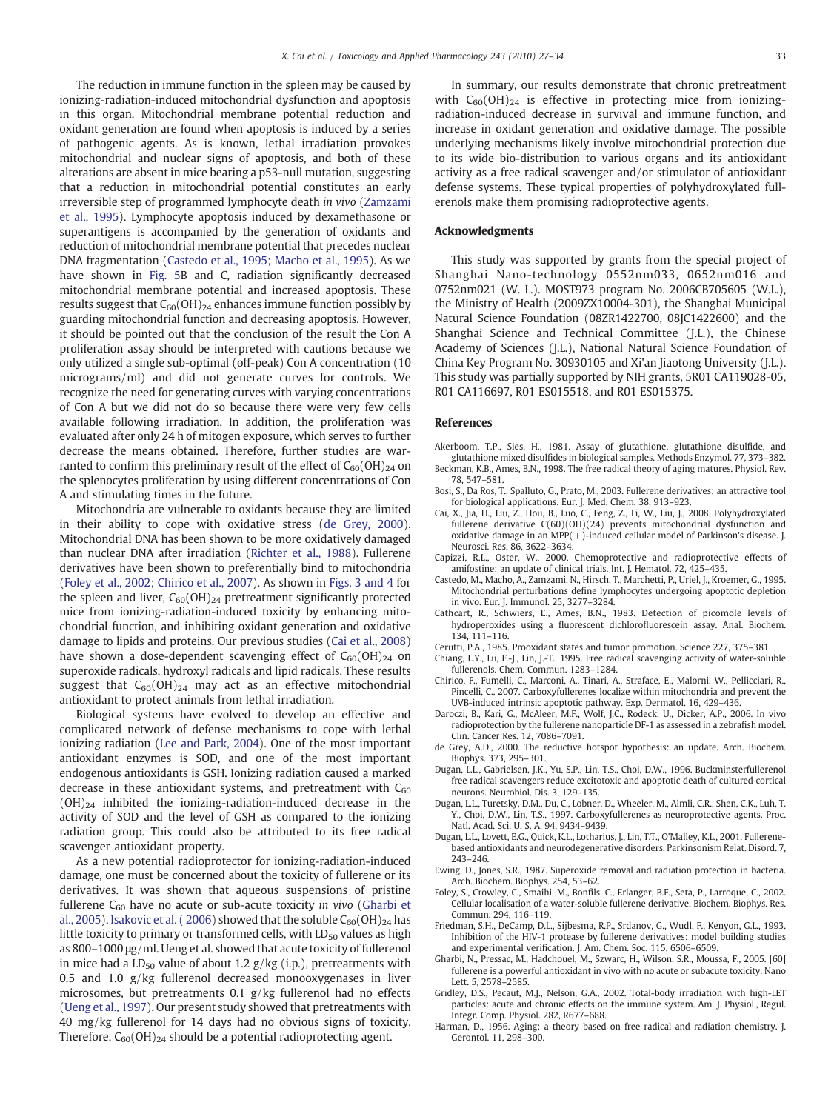<span id="page-6-0"></span>The reduction in immune function in the spleen may be caused by ionizing-radiation-induced mitochondrial dysfunction and apoptosis in this organ. Mitochondrial membrane potential reduction and oxidant generation are found when apoptosis is induced by a series of pathogenic agents. As is known, lethal irradiation provokes mitochondrial and nuclear signs of apoptosis, and both of these alterations are absent in mice bearing a p53-null mutation, suggesting that a reduction in mitochondrial potential constitutes an early irreversible step of programmed lymphocyte death in vivo [\(Zamzami](#page-7-0) [et al., 1995\)](#page-7-0). Lymphocyte apoptosis induced by dexamethasone or superantigens is accompanied by the generation of oxidants and reduction of mitochondrial membrane potential that precedes nuclear DNA fragmentation (Castedo et al., 1995; Macho et al., 1995). As we have shown in [Fig. 5B](#page-5-0) and C, radiation significantly decreased mitochondrial membrane potential and increased apoptosis. These results suggest that  $C_{60}(OH)_{24}$  enhances immune function possibly by guarding mitochondrial function and decreasing apoptosis. However, it should be pointed out that the conclusion of the result the Con A proliferation assay should be interpreted with cautions because we only utilized a single sub-optimal (off-peak) Con A concentration (10 micrograms/ml) and did not generate curves for controls. We recognize the need for generating curves with varying concentrations of Con A but we did not do so because there were very few cells available following irradiation. In addition, the proliferation was evaluated after only 24 h of mitogen exposure, which serves to further decrease the means obtained. Therefore, further studies are warranted to confirm this preliminary result of the effect of  $C_{60}(OH)_{24}$  on the splenocytes proliferation by using different concentrations of Con A and stimulating times in the future.

Mitochondria are vulnerable to oxidants because they are limited in their ability to cope with oxidative stress (de Grey, 2000). Mitochondrial DNA has been shown to be more oxidatively damaged than nuclear DNA after irradiation [\(Richter et al., 1988\)](#page-7-0). Fullerene derivatives have been shown to preferentially bind to mitochondria (Foley et al., 2002; Chirico et al., 2007). As shown in [Figs. 3 and 4](#page-4-0) for the spleen and liver,  $C_{60}(OH)_{24}$  pretreatment significantly protected mice from ionizing-radiation-induced toxicity by enhancing mitochondrial function, and inhibiting oxidant generation and oxidative damage to lipids and proteins. Our previous studies (Cai et al., 2008) have shown a dose-dependent scavenging effect of  $C_{60}(\text{OH})_{24}$  on superoxide radicals, hydroxyl radicals and lipid radicals. These results suggest that  $C_{60}(OH)_{24}$  may act as an effective mitochondrial antioxidant to protect animals from lethal irradiation.

Biological systems have evolved to develop an effective and complicated network of defense mechanisms to cope with lethal ionizing radiation [\(Lee and Park, 2004](#page-7-0)). One of the most important antioxidant enzymes is SOD, and one of the most important endogenous antioxidants is GSH. Ionizing radiation caused a marked decrease in these antioxidant systems, and pretreatment with  $C_{60}$  $(OH)_{24}$  inhibited the ionizing-radiation-induced decrease in the activity of SOD and the level of GSH as compared to the ionizing radiation group. This could also be attributed to its free radical scavenger antioxidant property.

As a new potential radioprotector for ionizing-radiation-induced damage, one must be concerned about the toxicity of fullerene or its derivatives. It was shown that aqueous suspensions of pristine fullerene  $C_{60}$  have no acute or sub-acute toxicity in vivo (Gharbi et al., 2005). Isakovic et al. (2006) showed that the soluble  $C_{60}(OH)_{24}$  has little toxicity to primary or transformed cells, with  $LD_{50}$  values as high as 800–1000 μg/ml. Ueng et al. showed that acute toxicity of fullerenol in mice had a  $LD_{50}$  value of about 1.2  $g/kg$  (i.p.), pretreatments with 0.5 and 1.0 g/kg fullerenol decreased monooxygenases in liver microsomes, but pretreatments 0.1 g/kg fullerenol had no effects [\(Ueng et al., 1997\)](#page-7-0). Our present study showed that pretreatments with 40 mg/kg fullerenol for 14 days had no obvious signs of toxicity. Therefore,  $C_{60}(OH)_{24}$  should be a potential radioprotecting agent.

In summary, our results demonstrate that chronic pretreatment with  $C_{60}(OH)_{24}$  is effective in protecting mice from ionizingradiation-induced decrease in survival and immune function, and increase in oxidant generation and oxidative damage. The possible underlying mechanisms likely involve mitochondrial protection due to its wide bio-distribution to various organs and its antioxidant activity as a free radical scavenger and/or stimulator of antioxidant defense systems. These typical properties of polyhydroxylated fullerenols make them promising radioprotective agents.

#### Acknowledgments

This study was supported by grants from the special project of Shanghai Nano-technology 0552nm033, 0652nm016 and 0752nm021 (W. L.). MOST973 program No. 2006CB705605 (W.L.), the Ministry of Health (2009ZX10004-301), the Shanghai Municipal Natural Science Foundation (08ZR1422700, 08JC1422600) and the Shanghai Science and Technical Committee (J.L.), the Chinese Academy of Sciences (J.L.), National Natural Science Foundation of China Key Program No. 30930105 and Xi'an Jiaotong University (J.L.). This study was partially supported by NIH grants, 5R01 CA119028-05, R01 CA116697, R01 ES015518, and R01 ES015375.

#### References

- Akerboom, T.P., Sies, H., 1981. Assay of glutathione, glutathione disulfide, and glutathione mixed disulfides in biological samples. Methods Enzymol. 77, 373–382.
- Beckman, K.B., Ames, B.N., 1998. The free radical theory of aging matures. Physiol. Rev. 78, 547–581.
- Bosi, S., Da Ros, T., Spalluto, G., Prato, M., 2003. Fullerene derivatives: an attractive tool for biological applications. Eur. J. Med. Chem. 38, 913–923.
- Cai, X., Jia, H., Liu, Z., Hou, B., Luo, C., Feng, Z., Li, W., Liu, J., 2008. Polyhydroxylated fullerene derivative C(60)(OH)(24) prevents mitochondrial dysfunction and oxidative damage in an MPP(+)-induced cellular model of Parkinson's disease. J. Neurosci. Res. 86, 3622–3634.
- Capizzi, R.L., Oster, W., 2000. Chemoprotective and radioprotective effects of amifostine: an update of clinical trials. Int. J. Hematol. 72, 425–435.
- Castedo, M., Macho, A., Zamzami, N., Hirsch, T., Marchetti, P., Uriel, J., Kroemer, G., 1995. Mitochondrial perturbations define lymphocytes undergoing apoptotic depletion in vivo. Eur. J. Immunol. 25, 3277–3284.
- Cathcart, R., Schwiers, E., Ames, B.N., 1983. Detection of picomole levels of hydroperoxides using a fluorescent dichlorofluorescein assay. Anal. Biochem. 134, 111–116.
- Cerutti, P.A., 1985. Prooxidant states and tumor promotion. Science 227, 375–381.
- Chiang, L.Y., Lu, F.-J., Lin, J.-T., 1995. Free radical scavenging activity of water-soluble fullerenols. Chem. Commun. 1283–1284.
- Chirico, F., Fumelli, C., Marconi, A., Tinari, A., Straface, E., Malorni, W., Pellicciari, R., Pincelli, C., 2007. Carboxyfullerenes localize within mitochondria and prevent the UVB-induced intrinsic apoptotic pathway. Exp. Dermatol. 16, 429–436.
- Daroczi, B., Kari, G., McAleer, M.F., Wolf, J.C., Rodeck, U., Dicker, A.P., 2006. In vivo radioprotection by the fullerene nanoparticle DF-1 as assessed in a zebrafish model. Clin. Cancer Res. 12, 7086–7091.
- de Grey, A.D., 2000. The reductive hotspot hypothesis: an update. Arch. Biochem. Biophys. 373, 295–301.
- Dugan, L.L., Gabrielsen, J.K., Yu, S.P., Lin, T.S., Choi, D.W., 1996. Buckminsterfullerenol free radical scavengers reduce excitotoxic and apoptotic death of cultured cortical neurons. Neurobiol. Dis. 3, 129–135.
- Dugan, L.L., Turetsky, D.M., Du, C., Lobner, D., Wheeler, M., Almli, C.R., Shen, C.K., Luh, T. Y., Choi, D.W., Lin, T.S., 1997. Carboxyfullerenes as neuroprotective agents. Proc. Natl. Acad. Sci. U. S. A. 94, 9434–9439.
- Dugan, L.L., Lovett, E.G., Quick, K.L., Lotharius, J., Lin, T.T., O'Malley, K.L., 2001. Fullerenebased antioxidants and neurodegenerative disorders. Parkinsonism Relat. Disord. 7, 243–246.
- Ewing, D., Jones, S.R., 1987. Superoxide removal and radiation protection in bacteria. Arch. Biochem. Biophys. 254, 53–62.
- Foley, S., Crowley, C., Smaihi, M., Bonfils, C., Erlanger, B.F., Seta, P., Larroque, C., 2002. Cellular localisation of a water-soluble fullerene derivative. Biochem. Biophys. Res. Commun. 294, 116–119.
- Friedman, S.H., DeCamp, D.L., Sijbesma, R.P., Srdanov, G., Wudl, F., Kenyon, G.L., 1993. Inhibition of the HIV-1 protease by fullerene derivatives: model building studies and experimental verification. J. Am. Chem. Soc. 115, 6506–6509.
- Gharbi, N., Pressac, M., Hadchouel, M., Szwarc, H., Wilson, S.R., Moussa, F., 2005. [60] fullerene is a powerful antioxidant in vivo with no acute or subacute toxicity. Nano Lett. 5, 2578–2585.
- Gridley, D.S., Pecaut, M.J., Nelson, G.A., 2002. Total-body irradiation with high-LET particles: acute and chronic effects on the immune system. Am. J. Physiol., Regul. Integr. Comp. Physiol. 282, R677–688.
- Harman, D., 1956. Aging: a theory based on free radical and radiation chemistry. J. Gerontol. 11, 298–300.